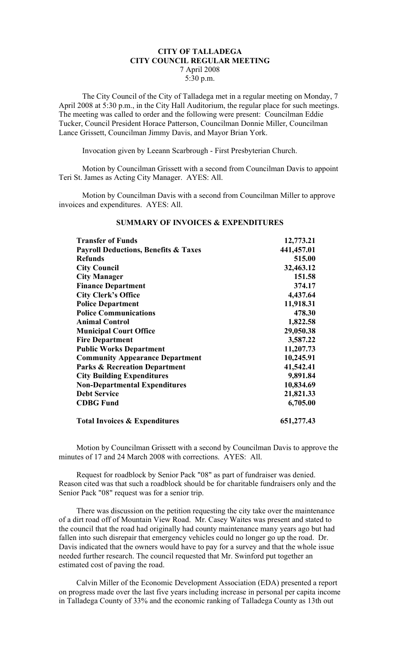## **CITY OF TALLADEGA CITY COUNCIL REGULAR MEETING** 7 April 2008 5:30 p.m.

The City Council of the City of Talladega met in a regular meeting on Monday, 7 April 2008 at 5:30 p.m., in the City Hall Auditorium, the regular place for such meetings. The meeting was called to order and the following were present: Councilman Eddie Tucker, Council President Horace Patterson, Councilman Donnie Miller, Councilman Lance Grissett, Councilman Jimmy Davis, and Mayor Brian York.

Invocation given by Leeann Scarbrough - First Presbyterian Church.

Motion by Councilman Grissett with a second from Councilman Davis to appoint Teri St. James as Acting City Manager. AYES: All.

Motion by Councilman Davis with a second from Councilman Miller to approve invoices and expenditures. AYES: All.

| <b>Transfer of Funds</b>                        | 12,773.21  |
|-------------------------------------------------|------------|
| <b>Payroll Deductions, Benefits &amp; Taxes</b> | 441,457.01 |
| <b>Refunds</b>                                  | 515.00     |
| <b>City Council</b>                             | 32,463.12  |
| <b>City Manager</b>                             | 151.58     |
| <b>Finance Department</b>                       | 374.17     |
| <b>City Clerk's Office</b>                      | 4,437.64   |
| <b>Police Department</b>                        | 11,918.31  |
| <b>Police Communications</b>                    | 478.30     |
| <b>Animal Control</b>                           | 1,822.58   |
| <b>Municipal Court Office</b>                   | 29,050.38  |
| <b>Fire Department</b>                          | 3,587.22   |
| <b>Public Works Department</b>                  | 11,207.73  |
| <b>Community Appearance Department</b>          | 10,245.91  |
| <b>Parks &amp; Recreation Department</b>        | 41,542.41  |
| <b>City Building Expenditures</b>               | 9,891.84   |
| <b>Non-Departmental Expenditures</b>            | 10,834.69  |
| <b>Debt Service</b>                             | 21,821.33  |
| <b>CDBG</b> Fund                                | 6,705.00   |
| <b>Total Invoices &amp; Expenditures</b>        | 651,277.43 |

# **SUMMARY OF INVOICES & EXPENDITURES**

Motion by Councilman Grissett with a second by Councilman Davis to approve the minutes of 17 and 24 March 2008 with corrections. AYES: All.

Request for roadblock by Senior Pack "08" as part of fundraiser was denied. Reason cited was that such a roadblock should be for charitable fundraisers only and the Senior Pack "08" request was for a senior trip.

There was discussion on the petition requesting the city take over the maintenance of a dirt road off of Mountain View Road. Mr. Casey Waites was present and stated to the council that the road had originally had county maintenance many years ago but had fallen into such disrepair that emergency vehicles could no longer go up the road. Dr. Davis indicated that the owners would have to pay for a survey and that the whole issue needed further research. The council requested that Mr. Swinford put together an estimated cost of paving the road.

Calvin Miller of the Economic Development Association (EDA) presented a report on progress made over the last five years including increase in personal per capita income in Talladega County of 33% and the economic ranking of Talladega County as 13th out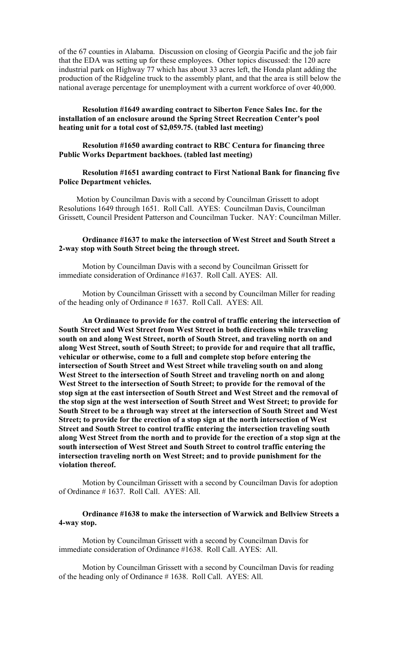of the 67 counties in Alabama. Discussion on closing of Georgia Pacific and the job fair that the EDA was setting up for these employees. Other topics discussed: the 120 acre industrial park on Highway 77 which has about 33 acres left, the Honda plant adding the production of the Ridgeline truck to the assembly plant, and that the area is still below the national average percentage for unemployment with a current workforce of over 40,000.

## **Resolution #1649 awarding contract to Siberton Fence Sales Inc. for the installation of an enclosure around the Spring Street Recreation Center's pool heating unit for a total cost of \$2,059.75. (tabled last meeting)**

## **Resolution #1650 awarding contract to RBC Centura for financing three Public Works Department backhoes. (tabled last meeting)**

#### **Resolution #1651 awarding contract to First National Bank for financing five Police Department vehicles.**

Motion by Councilman Davis with a second by Councilman Grissett to adopt Resolutions 1649 through 1651. Roll Call. AYES: Councilman Davis, Councilman Grissett, Council President Patterson and Councilman Tucker. NAY: Councilman Miller.

# **Ordinance #1637 to make the intersection of West Street and South Street a 2-way stop with South Street being the through street.**

Motion by Councilman Davis with a second by Councilman Grissett for immediate consideration of Ordinance #1637. Roll Call. AYES: All.

Motion by Councilman Grissett with a second by Councilman Miller for reading of the heading only of Ordinance # 1637. Roll Call. AYES: All.

**An Ordinance to provide for the control of traffic entering the intersection of South Street and West Street from West Street in both directions while traveling south on and along West Street, north of South Street, and traveling north on and along West Street, south of South Street; to provide for and require that all traffic, vehicular or otherwise, come to a full and complete stop before entering the intersection of South Street and West Street while traveling south on and along West Street to the intersection of South Street and traveling north on and along West Street to the intersection of South Street; to provide for the removal of the stop sign at the east intersection of South Street and West Street and the removal of the stop sign at the west intersection of South Street and West Street; to provide for South Street to be a through way street at the intersection of South Street and West Street; to provide for the erection of a stop sign at the north intersection of West Street and South Street to control traffic entering the intersection traveling south along West Street from the north and to provide for the erection of a stop sign at the south intersection of West Street and South Street to control traffic entering the intersection traveling north on West Street; and to provide punishment for the violation thereof.**

Motion by Councilman Grissett with a second by Councilman Davis for adoption of Ordinance # 1637. Roll Call. AYES: All.

# **Ordinance #1638 to make the intersection of Warwick and Bellview Streets a 4-way stop.**

Motion by Councilman Grissett with a second by Councilman Davis for immediate consideration of Ordinance #1638. Roll Call. AYES: All.

Motion by Councilman Grissett with a second by Councilman Davis for reading of the heading only of Ordinance # 1638. Roll Call. AYES: All.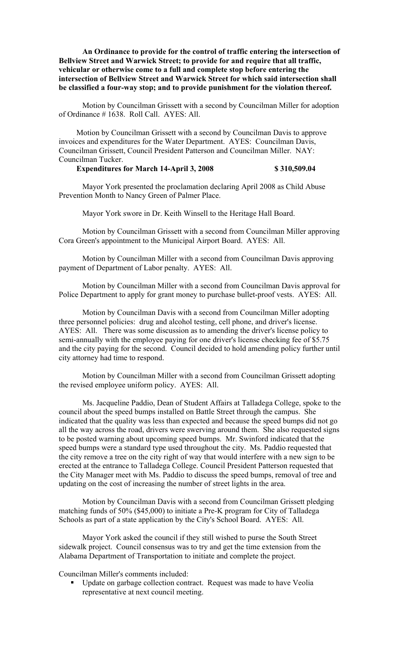**An Ordinance to provide for the control of traffic entering the intersection of Bellview Street and Warwick Street; to provide for and require that all traffic, vehicular or otherwise come to a full and complete stop before entering the intersection of Bellview Street and Warwick Street for which said intersection shall be classified a four-way stop; and to provide punishment for the violation thereof.**

Motion by Councilman Grissett with a second by Councilman Miller for adoption of Ordinance # 1638. Roll Call. AYES: All.

Motion by Councilman Grissett with a second by Councilman Davis to approve invoices and expenditures for the Water Department. AYES: Councilman Davis, Councilman Grissett, Council President Patterson and Councilman Miller. NAY: Councilman Tucker.

## **Expenditures for March 14-April 3, 2008 \$ 310,509.04**

Mayor York presented the proclamation declaring April 2008 as Child Abuse Prevention Month to Nancy Green of Palmer Place.

Mayor York swore in Dr. Keith Winsell to the Heritage Hall Board.

Motion by Councilman Grissett with a second from Councilman Miller approving Cora Green's appointment to the Municipal Airport Board. AYES: All.

Motion by Councilman Miller with a second from Councilman Davis approving payment of Department of Labor penalty. AYES: All.

Motion by Councilman Miller with a second from Councilman Davis approval for Police Department to apply for grant money to purchase bullet-proof vests. AYES: All.

Motion by Councilman Davis with a second from Councilman Miller adopting three personnel policies: drug and alcohol testing, cell phone, and driver's license. AYES: All. There was some discussion as to amending the driver's license policy to semi-annually with the employee paying for one driver's license checking fee of \$5.75 and the city paying for the second. Council decided to hold amending policy further until city attorney had time to respond.

Motion by Councilman Miller with a second from Councilman Grissett adopting the revised employee uniform policy. AYES: All.

Ms. Jacqueline Paddio, Dean of Student Affairs at Talladega College, spoke to the council about the speed bumps installed on Battle Street through the campus. She indicated that the quality was less than expected and because the speed bumps did not go all the way across the road, drivers were swerving around them. She also requested signs to be posted warning about upcoming speed bumps. Mr. Swinford indicated that the speed bumps were a standard type used throughout the city. Ms. Paddio requested that the city remove a tree on the city right of way that would interfere with a new sign to be erected at the entrance to Talladega College. Council President Patterson requested that the City Manager meet with Ms. Paddio to discuss the speed bumps, removal of tree and updating on the cost of increasing the number of street lights in the area.

Motion by Councilman Davis with a second from Councilman Grissett pledging matching funds of 50% (\$45,000) to initiate a Pre-K program for City of Talladega Schools as part of a state application by the City's School Board. AYES: All.

Mayor York asked the council if they still wished to purse the South Street sidewalk project. Council consensus was to try and get the time extension from the Alabama Department of Transportation to initiate and complete the project.

Councilman Miller's comments included:

• Update on garbage collection contract. Request was made to have Veolia representative at next council meeting.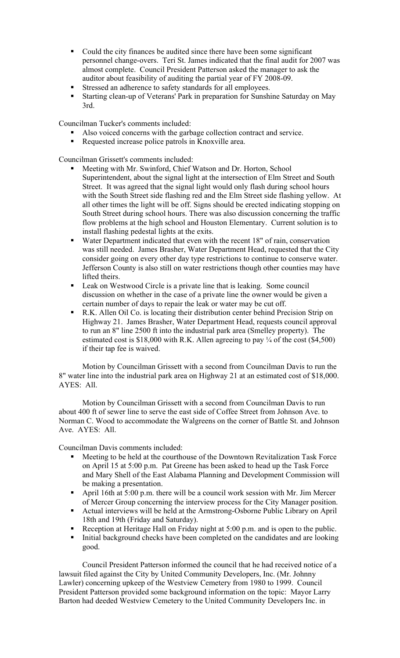- Could the city finances be audited since there have been some significant personnel change-overs. Teri St. James indicated that the final audit for 2007 was almost complete. Council President Patterson asked the manager to ask the auditor about feasibility of auditing the partial year of FY 2008-09.
- Stressed an adherence to safety standards for all employees.
- Starting clean-up of Veterans' Park in preparation for Sunshine Saturday on May 3rd.

Councilman Tucker's comments included:

- Also voiced concerns with the garbage collection contract and service.
- Requested increase police patrols in Knoxville area.

Councilman Grissett's comments included:

- **Meeting with Mr. Swinford, Chief Watson and Dr. Horton, School** Superintendent, about the signal light at the intersection of Elm Street and South Street. It was agreed that the signal light would only flash during school hours with the South Street side flashing red and the Elm Street side flashing yellow. At all other times the light will be off. Signs should be erected indicating stopping on South Street during school hours. There was also discussion concerning the traffic flow problems at the high school and Houston Elementary. Current solution is to install flashing pedestal lights at the exits.
- Water Department indicated that even with the recent 18" of rain, conservation was still needed. James Brasher, Water Department Head, requested that the City consider going on every other day type restrictions to continue to conserve water. Jefferson County is also still on water restrictions though other counties may have lifted theirs.
- Leak on Westwood Circle is a private line that is leaking. Some council discussion on whether in the case of a private line the owner would be given a certain number of days to repair the leak or water may be cut off.
- R.K. Allen Oil Co. is locating their distribution center behind Precision Strip on Highway 21. James Brasher, Water Department Head, requests council approval to run an 8" line 2500 ft into the industrial park area (Smelley property). The estimated cost is \$18,000 with R.K. Allen agreeing to pay  $\frac{1}{4}$  of the cost (\$4,500) if their tap fee is waived.

Motion by Councilman Grissett with a second from Councilman Davis to run the 8" water line into the industrial park area on Highway 21 at an estimated cost of \$18,000. AYES: All.

Motion by Councilman Grissett with a second from Councilman Davis to run about 400 ft of sewer line to serve the east side of Coffee Street from Johnson Ave. to Norman C. Wood to accommodate the Walgreens on the corner of Battle St. and Johnson Ave. AYES: All.

Councilman Davis comments included:

- Meeting to be held at the courthouse of the Downtown Revitalization Task Force on April 15 at 5:00 p.m. Pat Greene has been asked to head up the Task Force and Mary Shell of the East Alabama Planning and Development Commission will be making a presentation.
- April 16th at 5:00 p.m. there will be a council work session with Mr. Jim Mercer of Mercer Group concerning the interview process for the City Manager position.
- Actual interviews will be held at the Armstrong-Osborne Public Library on April 18th and 19th (Friday and Saturday).
- Reception at Heritage Hall on Friday night at  $5:00$  p.m. and is open to the public.
- Initial background checks have been completed on the candidates and are looking good.

Council President Patterson informed the council that he had received notice of a lawsuit filed against the City by United Community Developers, Inc. (Mr. Johnny Lawler) concerning upkeep of the Westview Cemetery from 1980 to 1999. Council President Patterson provided some background information on the topic: Mayor Larry Barton had deeded Westview Cemetery to the United Community Developers Inc. in